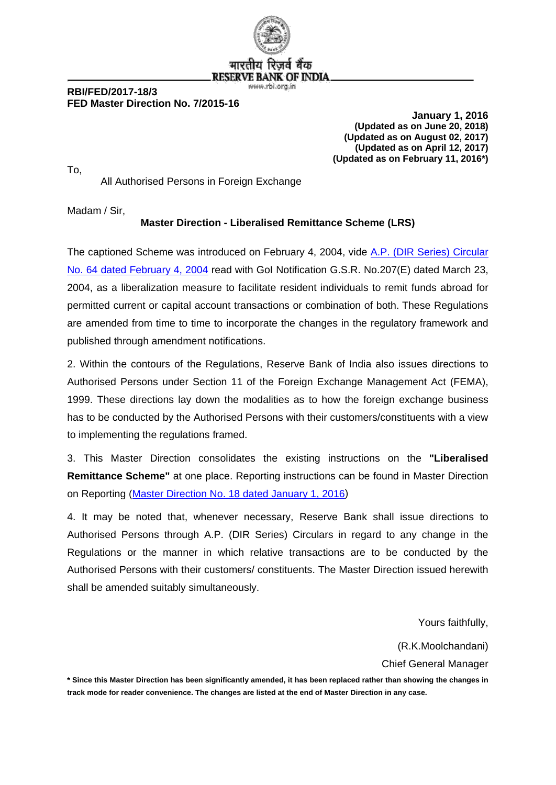

भारतीय **RESERVE BANK OF INDIA** www.rbi.org.in

#### **RBI/FED/2017-18/3 FED Master Direction No. 7/2015-16**

 **January 1, 2016 (Updated as on June 20, 2018) (Updated as on August 02, 2017) (Updated as on April 12, 2017) (Updated as on February 11, 2016\*)**

All Authorised Persons in Foreign Exchange

Madam / Sir,

To,

#### **Master Direction - Liberalised Remittance Scheme (LRS)**

The captioned Scheme was introduced on February 4, 2004, vide A.P. [\(DIR Series\) Circular](https://rbi.org.in/Scripts/NotificationUser.aspx?Id=1466&Mode=0)  [No. 64 dated February 4, 2004](https://rbi.org.in/Scripts/NotificationUser.aspx?Id=1466&Mode=0) read with GoI Notification G.S.R. No.207(E) dated March 23, 2004, as a liberalization measure to facilitate resident individuals to remit funds abroad for permitted current or capital account transactions or combination of both. These Regulations are amended from time to time to incorporate the changes in the regulatory framework and published through amendment notifications.

2. Within the contours of the Regulations, Reserve Bank of India also issues directions to Authorised Persons under Section 11 of the Foreign Exchange Management Act (FEMA), 1999. These directions lay down the modalities as to how the foreign exchange business has to be conducted by the Authorised Persons with their customers/constituents with a view to implementing the regulations framed.

3. This Master Direction consolidates the existing instructions on the **"Liberalised Remittance Scheme"** at one place. Reporting instructions can be found in Master Direction on Reporting [\(Master Direction No. 18 dated January 1, 2016\)](https://rbi.org.in/Scripts/BS_ViewMasterDirections.aspx?id=10202)

4. It may be noted that, whenever necessary, Reserve Bank shall issue directions to Authorised Persons through A.P. (DIR Series) Circulars in regard to any change in the Regulations or the manner in which relative transactions are to be conducted by the Authorised Persons with their customers/ constituents. The Master Direction issued herewith shall be amended suitably simultaneously.

Yours faithfully,

(R.K.Moolchandani)

Chief General Manager

**\* Since this Master Direction has been significantly amended, it has been replaced rather than showing the changes in track mode for reader convenience. The changes are listed at the end of Master Direction in any case.**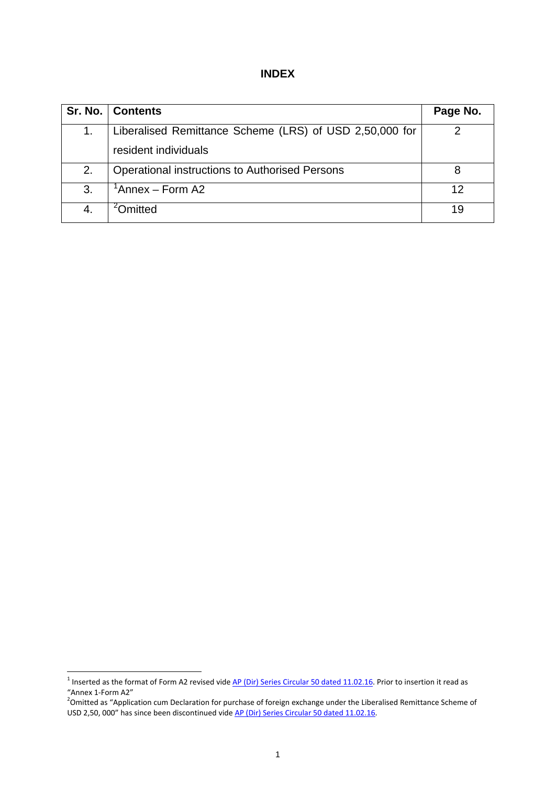| I |
|---|
|---|

|    | Sr. No.   Contents                                      | Page No. |
|----|---------------------------------------------------------|----------|
| 1. | Liberalised Remittance Scheme (LRS) of USD 2,50,000 for |          |
|    | resident individuals                                    |          |
| 2. | Operational instructions to Authorised Persons          | 8        |
| 3. | 'Annex – Form A2                                        | 12       |
|    | <b>Jmitted</b>                                          | 19       |

<span id="page-1-0"></span> $1$  Inserted as the format of Form A2 revised vide  $AP$  (Dir) Series Circular 50 dated 11.02.16. Prior to insertion it read as

<span id="page-1-1"></span><sup>&</sup>quot;Annex 1-Form A2"<br><sup>2</sup>Omitted as "Application cum Declaration for purchase of foreign exchange under the Liberalised Remittance Scheme of USD 2,50, 000" has since been discontinued vid[e AP \(Dir\) Series Circular 50 dated 11.02.16.](https://www.rbi.org.in/Scripts/NotificationUser.aspx?Id=10276&Mode=0)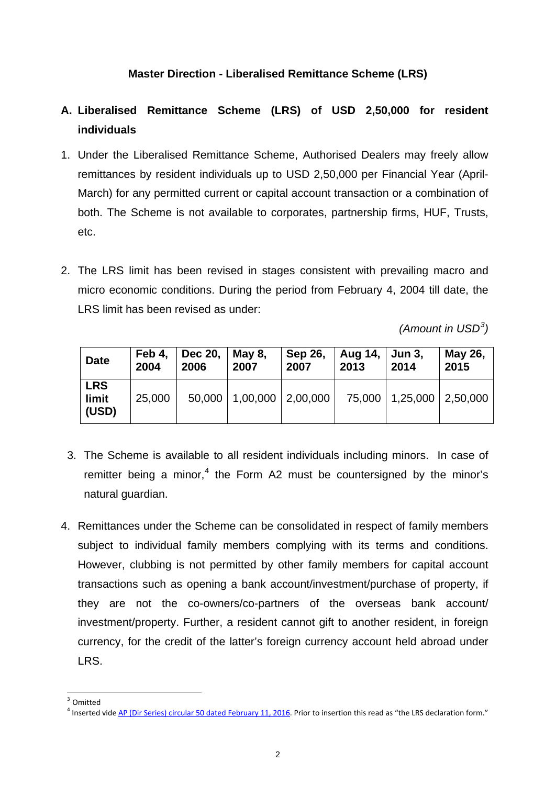## **Master Direction - Liberalised Remittance Scheme (LRS)**

## **A. Liberalised Remittance Scheme (LRS) of USD 2,50,000 for resident individuals**

- 1. Under the Liberalised Remittance Scheme, Authorised Dealers may freely allow remittances by resident individuals up to USD 2,50,000 per Financial Year (April-March) for any permitted current or capital account transaction or a combination of both. The Scheme is not available to corporates, partnership firms, HUF, Trusts, etc.
- 2. The LRS limit has been revised in stages consistent with prevailing macro and micro economic conditions. During the period from February 4, 2004 till date, the LRS limit has been revised as under:

*(Amount in USD[3](#page-2-0) )*

| <b>Date</b>                  | Feb 4.<br>2004 | <b>Dec 20,</b><br>2006 | May 8,<br>2007    | Sep 26,<br>2007 | Aug 14, Jun 3,<br>2013 | 2014                         | May 26,<br>2015 |
|------------------------------|----------------|------------------------|-------------------|-----------------|------------------------|------------------------------|-----------------|
| <b>LRS</b><br>limit<br>(USD) | 25,000         | 50,000                 | 1,00,000 2,00,000 |                 |                        | 75,000   1,25,000   2,50,000 |                 |

- 3. The Scheme is available to all resident individuals including minors. In case of remitter being a minor, $4$  the Form A2 must be countersigned by the minor's natural guardian.
- 4. Remittances under the Scheme can be consolidated in respect of family members subject to individual family members complying with its terms and conditions. However, clubbing is not permitted by other family members for capital account transactions such as opening a bank account/investment/purchase of property, if they are not the co-owners/co-partners of the overseas bank account/ investment/property. Further, a resident cannot gift to another resident, in foreign currency, for the credit of the latter's foreign currency account held abroad under LRS.

<span id="page-2-0"></span><sup>3</sup> Omitted

<span id="page-2-1"></span><sup>&</sup>lt;sup>4</sup> Inserted vide [AP \(Dir Series\) circular 50 dated February 11, 2016.](https://www.rbi.org.in/Scripts/NotificationUser.aspx?Id=10276&Mode=0) Prior to insertion this read as "the LRS declaration form."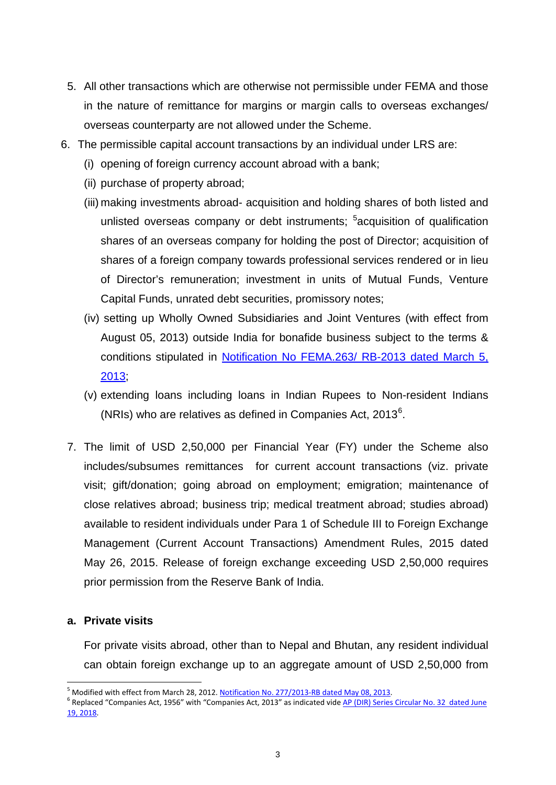- 5. All other transactions which are otherwise not permissible under FEMA and those in the nature of remittance for margins or margin calls to overseas exchanges/ overseas counterparty are not allowed under the Scheme.
- 6. The permissible capital account transactions by an individual under LRS are:
	- (i) opening of foreign currency account abroad with a bank;
	- (ii) purchase of property abroad;
	- (iii) making investments abroad- acquisition and holding shares of both listed and unlisted overseas company or debt instruments; <sup>[5](#page-3-0)</sup>acquisition of qualification shares of an overseas company for holding the post of Director; acquisition of shares of a foreign company towards professional services rendered or in lieu of Director's remuneration; investment in units of Mutual Funds, Venture Capital Funds, unrated debt securities, promissory notes;
	- (iv) setting up Wholly Owned Subsidiaries and Joint Ventures (with effect from August 05, 2013) outside India for bonafide business subject to the terms & conditions stipulated in [Notification No FEMA.263/ RB-2013 dated March](https://rbi.org.in/Scripts/NotificationUser.aspx?Id=8315&Mode=0) 5, [2013;](https://rbi.org.in/Scripts/NotificationUser.aspx?Id=8315&Mode=0)
	- (v) extending loans including loans in Indian Rupees to Non-resident Indians (NRIs) who are relatives as defined in Companies Act, 2013 $^6$  $^6$ .
	- 7. The limit of USD 2,50,000 per Financial Year (FY) under the Scheme also includes/subsumes remittances for current account transactions (viz. private visit; gift/donation; going abroad on employment; emigration; maintenance of close relatives abroad; business trip; medical treatment abroad; studies abroad) available to resident individuals under Para 1 of Schedule III to Foreign Exchange Management (Current Account Transactions) Amendment Rules, 2015 dated May 26, 2015. Release of foreign exchange exceeding USD 2,50,000 requires prior permission from the Reserve Bank of India.

#### **a. Private visits**

For private visits abroad, other than to Nepal and Bhutan, any resident individual can obtain foreign exchange up to an aggregate amount of USD 2,50,000 from

<span id="page-3-1"></span><span id="page-3-0"></span>

<sup>&</sup>lt;sup>5</sup> Modified with effect from March 28, 2012[. Notification No. 277/2013-RB dated May 08, 2013.](https://rbi.org.in/Scripts/NotificationUser.aspx?Id=8332&Mode=0)<br><sup>6</sup> Replaced "Companies Act, 1956" with "Companies Act, 2013" as indicated vide AP (DIR) Series Circular No. 32 dated June [19, 2018.](https://rbi.org.in/Scripts/NotificationUser.aspx?Id=11309&Mode=0)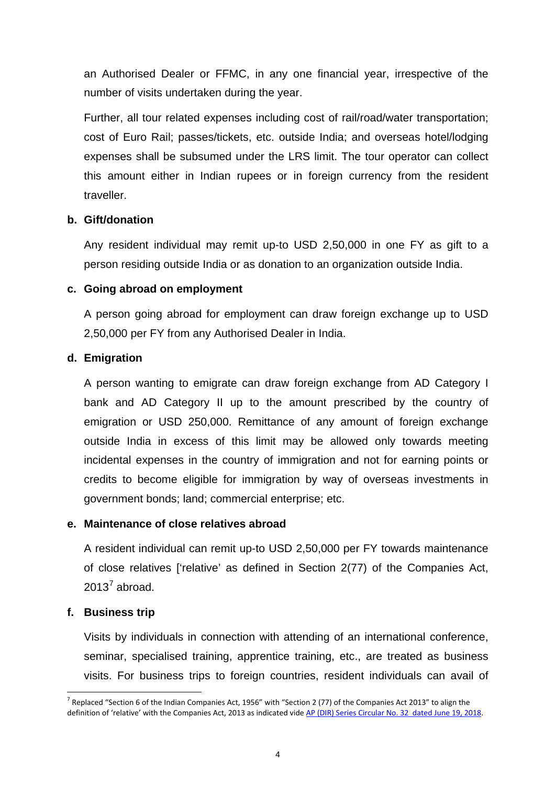an Authorised Dealer or FFMC, in any one financial year, irrespective of the number of visits undertaken during the year.

Further, all tour related expenses including cost of rail/road/water transportation; cost of Euro Rail; passes/tickets, etc. outside India; and overseas hotel/lodging expenses shall be subsumed under the LRS limit. The tour operator can collect this amount either in Indian rupees or in foreign currency from the resident traveller.

#### **b. Gift/donation**

Any resident individual may remit up-to USD 2,50,000 in one FY as gift to a person residing outside India or as donation to an organization outside India.

## **c. Going abroad on employment**

A person going abroad for employment can draw foreign exchange up to USD 2,50,000 per FY from any Authorised Dealer in India.

## **d. Emigration**

A person wanting to emigrate can draw foreign exchange from AD Category I bank and AD Category II up to the amount prescribed by the country of emigration or USD 250,000. Remittance of any amount of foreign exchange outside India in excess of this limit may be allowed only towards meeting incidental expenses in the country of immigration and not for earning points or credits to become eligible for immigration by way of overseas investments in government bonds; land; commercial enterprise; etc.

#### **e. Maintenance of close relatives abroad**

A resident individual can remit up-to USD 2,50,000 per FY towards maintenance of close relatives ['relative' as defined in Section 2(77) of the Companies Act,  $2013<sup>7</sup>$  $2013<sup>7</sup>$  $2013<sup>7</sup>$  abroad.

## **f. Business trip**

Visits by individuals in connection with attending of an international conference, seminar, specialised training, apprentice training, etc., are treated as business visits. For business trips to foreign countries, resident individuals can avail of

<span id="page-4-0"></span><sup>&</sup>lt;sup>7</sup> Replaced "Section 6 of the Indian Companies Act, 1956" with "Section 2 (77) of the Companies Act 2013" to align the definition of 'relative' with the Companies Act, 2013 as indicated vide [AP \(DIR\) Series Circular No. 32 dated June 19, 2018.](https://rbi.org.in/Scripts/NotificationUser.aspx?Id=11309&Mode=0)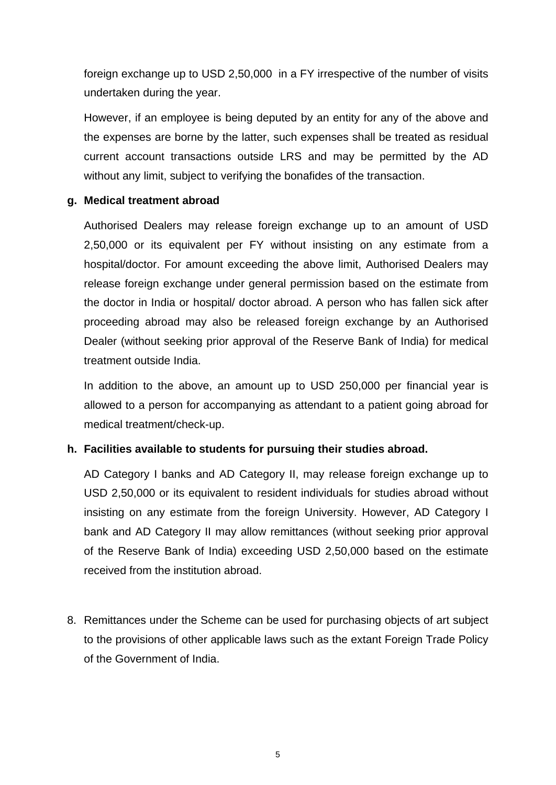foreign exchange up to USD 2,50,000 in a FY irrespective of the number of visits undertaken during the year.

However, if an employee is being deputed by an entity for any of the above and the expenses are borne by the latter, such expenses shall be treated as residual current account transactions outside LRS and may be permitted by the AD without any limit, subject to verifying the bonafides of the transaction.

## **g. Medical treatment abroad**

Authorised Dealers may release foreign exchange up to an amount of USD 2,50,000 or its equivalent per FY without insisting on any estimate from a hospital/doctor. For amount exceeding the above limit, Authorised Dealers may release foreign exchange under general permission based on the estimate from the doctor in India or hospital/ doctor abroad. A person who has fallen sick after proceeding abroad may also be released foreign exchange by an Authorised Dealer (without seeking prior approval of the Reserve Bank of India) for medical treatment outside India.

In addition to the above, an amount up to USD 250,000 per financial year is allowed to a person for accompanying as attendant to a patient going abroad for medical treatment/check-up.

## **h. Facilities available to students for pursuing their studies abroad.**

AD Category I banks and AD Category II, may release foreign exchange up to USD 2,50,000 or its equivalent to resident individuals for studies abroad without insisting on any estimate from the foreign University. However, AD Category I bank and AD Category II may allow remittances (without seeking prior approval of the Reserve Bank of India) exceeding USD 2,50,000 based on the estimate received from the institution abroad.

8. Remittances under the Scheme can be used for purchasing objects of art subject to the provisions of other applicable laws such as the extant Foreign Trade Policy of the Government of India.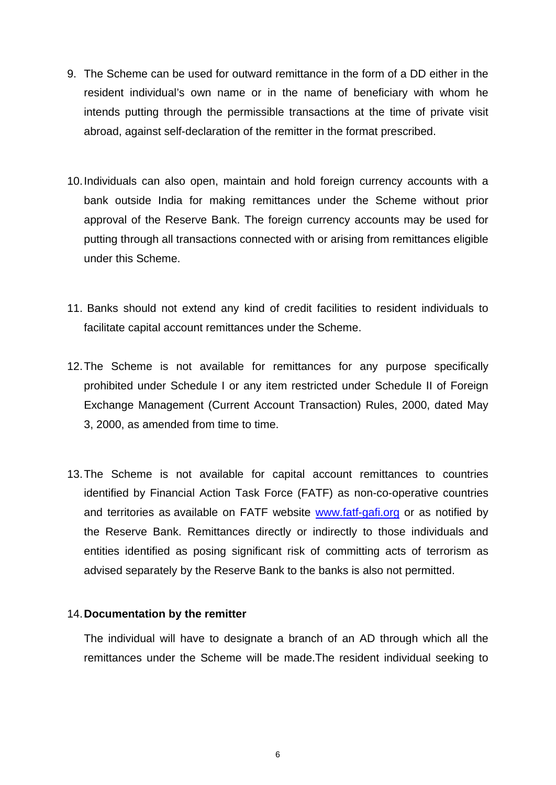- 9. The Scheme can be used for outward remittance in the form of a DD either in the resident individual's own name or in the name of beneficiary with whom he intends putting through the permissible transactions at the time of private visit abroad, against self-declaration of the remitter in the format prescribed.
- 10.Individuals can also open, maintain and hold foreign currency accounts with a bank outside India for making remittances under the Scheme without prior approval of the Reserve Bank. The foreign currency accounts may be used for putting through all transactions connected with or arising from remittances eligible under this Scheme.
- 11. Banks should not extend any kind of credit facilities to resident individuals to facilitate capital account remittances under the Scheme.
- 12.The Scheme is not available for remittances for any purpose specifically prohibited under Schedule I or any item restricted under Schedule II of Foreign Exchange Management (Current Account Transaction) Rules, 2000, dated May 3, 2000, as amended from time to time.
- 13.The Scheme is not available for capital account remittances to countries identified by Financial Action Task Force (FATF) as non-co-operative countries and territories as available on FATF website [www.fatf-gafi.org](http://www.fatf-gafi.org/) or as notified by the Reserve Bank. Remittances directly or indirectly to those individuals and entities identified as posing significant risk of committing acts of terrorism as advised separately by the Reserve Bank to the banks is also not permitted.

#### 14.**Documentation by the remitter**

The individual will have to designate a branch of an AD through which all the remittances under the Scheme will be made.The resident individual seeking to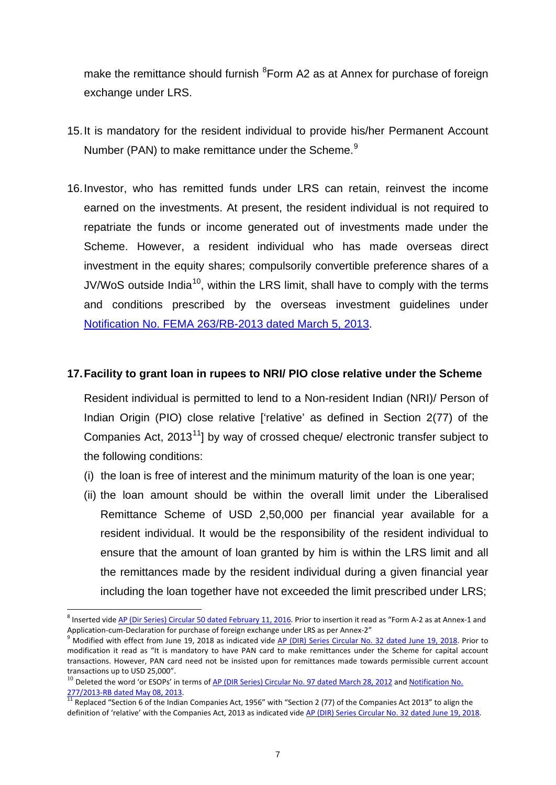make the remittance should furnish <sup>[8](#page-7-0)</sup> Form A2 as at Annex for purchase of foreign exchange under LRS.

- 15.It is mandatory for the resident individual to provide his/her Permanent Account Number (PAN) to make remittance under the Scheme.<sup>[9](#page-7-1)</sup>
- 16.Investor, who has remitted funds under LRS can retain, reinvest the income earned on the investments. At present, the resident individual is not required to repatriate the funds or income generated out of investments made under the Scheme. However, a resident individual who has made overseas direct investment in the equity shares; compulsorily convertible preference shares of a JV/WoS outside India<sup>[10](#page-7-2)</sup>, within the LRS limit, shall have to comply with the terms and conditions prescribed by the overseas investment guidelines under [Notification No. FEMA 263/RB-2013 dated March](https://rbi.org.in/Scripts/NotificationUser.aspx?Id=8315&Mode=0) 5, 2013.

#### **17.Facility to grant loan in rupees to NRI/ PIO close relative under the Scheme**

Resident individual is permitted to lend to a Non-resident Indian (NRI)/ Person of Indian Origin (PIO) close relative ['relative' as defined in Section 2(77) of the Companies Act, 2013<sup>[11](#page-7-3)</sup>] by way of crossed cheque/ electronic transfer subject to the following conditions:

- (i) the loan is free of interest and the minimum maturity of the loan is one year;
- (ii) the loan amount should be within the overall limit under the Liberalised Remittance Scheme of USD 2,50,000 per financial year available for a resident individual. It would be the responsibility of the resident individual to ensure that the amount of loan granted by him is within the LRS limit and all the remittances made by the resident individual during a given financial year including the loan together have not exceeded the limit prescribed under LRS;

<span id="page-7-0"></span><sup>&</sup>lt;sup>8</sup> Inserted vide [AP \(Dir Series\) Circular 50 dated February 11, 2016.](https://rbi.org.in/Scripts/NotificationUser.aspx?Id=10276&Mode=0) Prior to insertion it read as "Form A-2 as at Annex-1 and Application-cum-Declaration for purchase of foreign exchange under LRS as per Annex-2"<br><sup>9</sup> Modified with effect from June 19, 2018 as indicated vide <u>AP (DIR) Series Circular No. 32 dated June 19, 2018</u>. Prior to

<span id="page-7-1"></span>modification it read as "It is mandatory to have PAN card to make remittances under the Scheme for capital account transactions. However, PAN card need not be insisted upon for remittances made towards permissible current account transactions up to USD 25,000".

<span id="page-7-2"></span><sup>&</sup>lt;sup>10</sup> Deleted the word 'or ESOPs' in terms of <u>AP (DIR Series) Circular No. 97 dated March 28, 2012</u> and <u>Notification No.</u><br>277/2013-RB dated May 08, 2013.

<span id="page-7-3"></span><sup>277/2013-</sup>RB dated May 00, 2013.<br><sup>11</sup> Replaced "Section 6 of the Indian Companies Act, 1956" with "Section 2 (77) of the Companies Act 2013" to align the definition of 'relative' with the Companies Act, 2013 as indicated vide [AP \(DIR\) Series Circular No. 32 dated June 19, 2018.](https://rbi.org.in/Scripts/NotificationUser.aspx?Id=11309&Mode=0)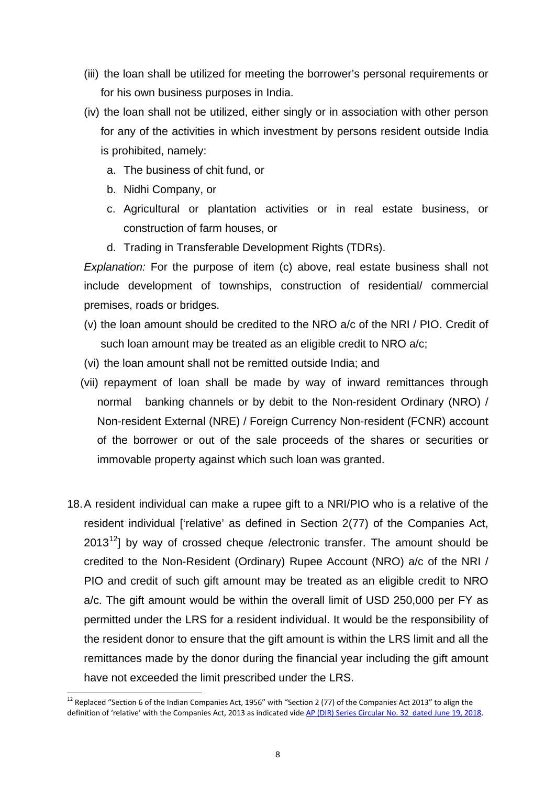- (iii) the loan shall be utilized for meeting the borrower's personal requirements or for his own business purposes in India.
- (iv) the loan shall not be utilized, either singly or in association with other person for any of the activities in which investment by persons resident outside India is prohibited, namely:
	- a. The business of chit fund, or
	- b. Nidhi Company, or
	- c. Agricultural or plantation activities or in real estate business, or construction of farm houses, or
	- d. Trading in Transferable Development Rights (TDRs).

*Explanation:* For the purpose of item (c) above, real estate business shall not include development of townships, construction of residential/ commercial premises, roads or bridges.

- (v) the loan amount should be credited to the NRO a/c of the NRI / PIO. Credit of such loan amount may be treated as an eligible credit to NRO a/c;
- (vi) the loan amount shall not be remitted outside India; and
- (vii) repayment of loan shall be made by way of inward remittances through normal banking channels or by debit to the Non-resident Ordinary (NRO) / Non-resident External (NRE) / Foreign Currency Non-resident (FCNR) account of the borrower or out of the sale proceeds of the shares or securities or immovable property against which such loan was granted.
- 18.A resident individual can make a rupee gift to a NRI/PIO who is a relative of the resident individual ['relative' as defined in Section 2(77) of the Companies Act,  $2013^{12}$  $2013^{12}$  $2013^{12}$ ] by way of crossed cheque /electronic transfer. The amount should be credited to the Non-Resident (Ordinary) Rupee Account (NRO) a/c of the NRI / PIO and credit of such gift amount may be treated as an eligible credit to NRO a/c. The gift amount would be within the overall limit of USD 250,000 per FY as permitted under the LRS for a resident individual. It would be the responsibility of the resident donor to ensure that the gift amount is within the LRS limit and all the remittances made by the donor during the financial year including the gift amount have not exceeded the limit prescribed under the LRS.

<span id="page-8-0"></span><sup>&</sup>lt;sup>12</sup> Replaced "Section 6 of the Indian Companies Act, 1956" with "Section 2 (77) of the Companies Act 2013" to align the definition of 'relative' with the Companies Act, 2013 as indicated vide [AP \(DIR\) Series Circular No. 32 dated June 19, 2018.](https://rbi.org.in/Scripts/NotificationUser.aspx?Id=11309&Mode=0)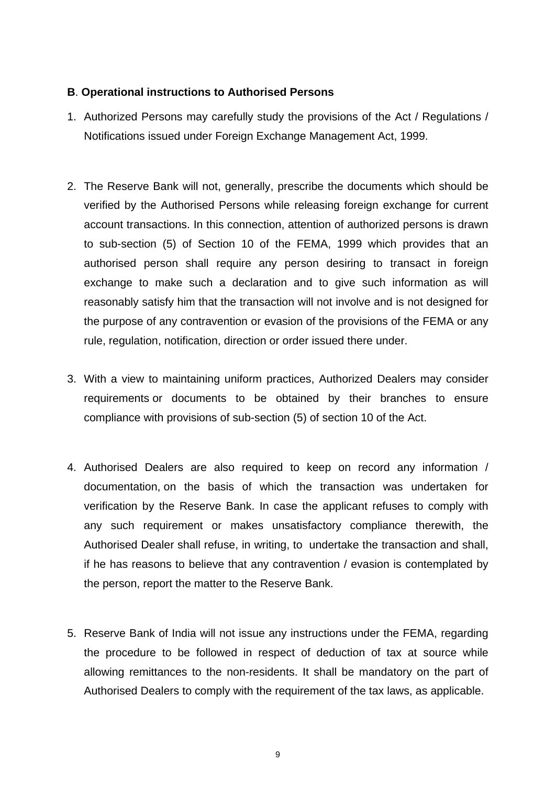## **B**. **Operational instructions to Authorised Persons**

- 1. Authorized Persons may carefully study the provisions of the Act / Regulations / Notifications issued under Foreign Exchange Management Act, 1999.
- 2. The Reserve Bank will not, generally, prescribe the documents which should be verified by the Authorised Persons while releasing foreign exchange for current account transactions. In this connection, attention of authorized persons is drawn to sub-section (5) of Section 10 of the FEMA, 1999 which provides that an authorised person shall require any person desiring to transact in foreign exchange to make such a declaration and to give such information as will reasonably satisfy him that the transaction will not involve and is not designed for the purpose of any contravention or evasion of the provisions of the FEMA or any rule, regulation, notification, direction or order issued there under.
- 3. With a view to maintaining uniform practices, Authorized Dealers may consider requirements or documents to be obtained by their branches to ensure compliance with provisions of sub-section (5) of section 10 of the Act.
- 4. Authorised Dealers are also required to keep on record any information / documentation, on the basis of which the transaction was undertaken for verification by the Reserve Bank. In case the applicant refuses to comply with any such requirement or makes unsatisfactory compliance therewith, the Authorised Dealer shall refuse, in writing, to undertake the transaction and shall, if he has reasons to believe that any contravention / evasion is contemplated by the person, report the matter to the Reserve Bank.
- 5. Reserve Bank of India will not issue any instructions under the FEMA, regarding the procedure to be followed in respect of deduction of tax at source while allowing remittances to the non-residents. It shall be mandatory on the part of Authorised Dealers to comply with the requirement of the tax laws, as applicable.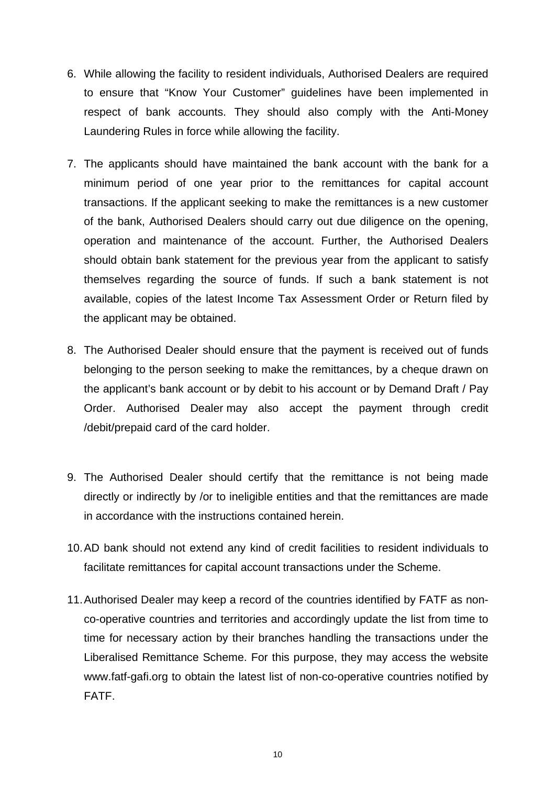- 6. While allowing the facility to resident individuals, Authorised Dealers are required to ensure that "Know Your Customer" guidelines have been implemented in respect of bank accounts. They should also comply with the Anti-Money Laundering Rules in force while allowing the facility.
- 7. The applicants should have maintained the bank account with the bank for a minimum period of one year prior to the remittances for capital account transactions. If the applicant seeking to make the remittances is a new customer of the bank, Authorised Dealers should carry out due diligence on the opening, operation and maintenance of the account. Further, the Authorised Dealers should obtain bank statement for the previous year from the applicant to satisfy themselves regarding the source of funds. If such a bank statement is not available, copies of the latest Income Tax Assessment Order or Return filed by the applicant may be obtained.
- 8. The Authorised Dealer should ensure that the payment is received out of funds belonging to the person seeking to make the remittances, by a cheque drawn on the applicant's bank account or by debit to his account or by Demand Draft / Pay Order. Authorised Dealer may also accept the payment through credit /debit/prepaid card of the card holder.
- 9. The Authorised Dealer should certify that the remittance is not being made directly or indirectly by /or to ineligible entities and that the remittances are made in accordance with the instructions contained herein.
- 10.AD bank should not extend any kind of credit facilities to resident individuals to facilitate remittances for capital account transactions under the Scheme.
- 11.Authorised Dealer may keep a record of the countries identified by FATF as nonco-operative countries and territories and accordingly update the list from time to time for necessary action by their branches handling the transactions under the Liberalised Remittance Scheme. For this purpose, they may access the website www.fatf-gafi.org to obtain the latest list of non-co-operative countries notified by FATF.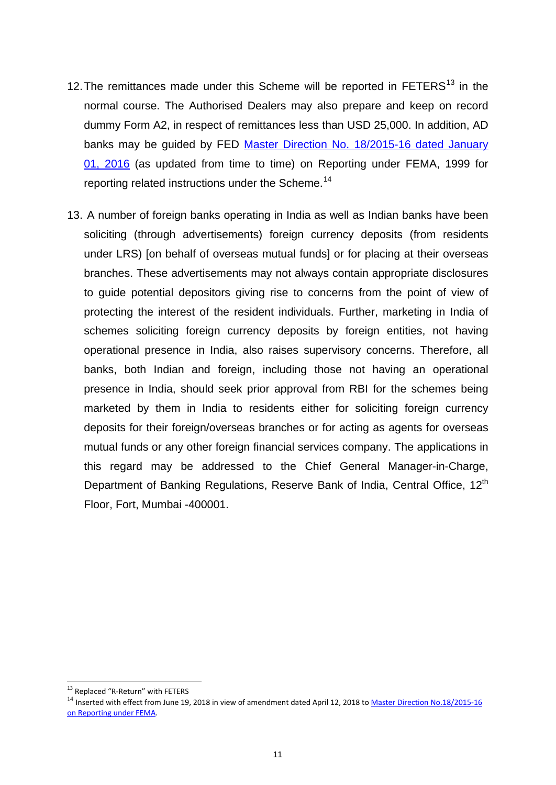- 12. The remittances made under this Scheme will be reported in FETERS<sup>[13](#page-11-0)</sup> in the normal course. The Authorised Dealers may also prepare and keep on record dummy Form A2, in respect of remittances less than USD 25,000. In addition, AD banks may be guided by FED [Master Direction No. 18/2015-16 dated January](https://rbi.org.in/Scripts/BS_ViewMasDirections.aspx?id=10202)  [01, 2016](https://rbi.org.in/Scripts/BS_ViewMasDirections.aspx?id=10202) (as updated from time to time) on Reporting under FEMA, 1999 for reporting related instructions under the Scheme.<sup>[14](#page-11-1)</sup>
- 13. A number of foreign banks operating in India as well as Indian banks have been soliciting (through advertisements) foreign currency deposits (from residents under LRS) [on behalf of overseas mutual funds] or for placing at their overseas branches. These advertisements may not always contain appropriate disclosures to guide potential depositors giving rise to concerns from the point of view of protecting the interest of the resident individuals. Further, marketing in India of schemes soliciting foreign currency deposits by foreign entities, not having operational presence in India, also raises supervisory concerns. Therefore, all banks, both Indian and foreign, including those not having an operational presence in India, should seek prior approval from RBI for the schemes being marketed by them in India to residents either for soliciting foreign currency deposits for their foreign/overseas branches or for acting as agents for overseas mutual funds or any other foreign financial services company. The applications in this regard may be addressed to the Chief General Manager-in-Charge, Department of Banking Regulations, Reserve Bank of India, Central Office, 12<sup>th</sup> Floor, Fort, Mumbai -400001.

<sup>&</sup>lt;sup>13</sup> Replaced "R-Return" with FETERS

<span id="page-11-1"></span><span id="page-11-0"></span><sup>&</sup>lt;sup>14</sup> Inserted with effect from June 19, 2018 in view of amendment dated April 12, 2018 to Master Direction No.18/2015-16 [on Reporting under](https://rbi.org.in/Scripts/BS_ViewMasDirections.aspx?id=10202) FEMA.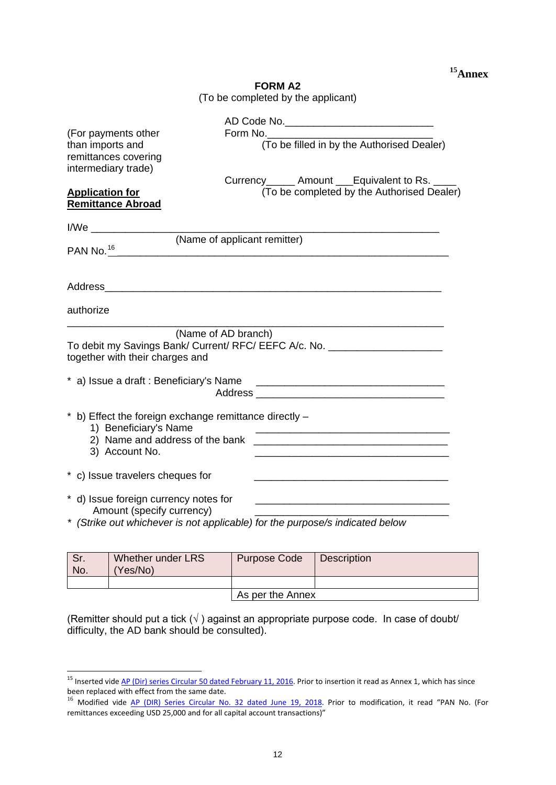#### **FORM A2** (To be completed by the applicant)

| (For payments other<br>than imports and<br>remittances covering<br>intermediary trade) | AD Code No._______________________________<br>Form No. $\qquad \qquad$<br>(To be filled in by the Authorised Dealer)                                                                                                           |
|----------------------------------------------------------------------------------------|--------------------------------------------------------------------------------------------------------------------------------------------------------------------------------------------------------------------------------|
| <b>Application for</b>                                                                 | Currency______ Amount ___Equivalent to Rs. ____<br>(To be completed by the Authorised Dealer)                                                                                                                                  |
| <b>Remittance Abroad</b>                                                               |                                                                                                                                                                                                                                |
|                                                                                        |                                                                                                                                                                                                                                |
| PAN No. <sup>16</sup>                                                                  | (Name of applicant remitter)                                                                                                                                                                                                   |
|                                                                                        |                                                                                                                                                                                                                                |
|                                                                                        |                                                                                                                                                                                                                                |
| authorize                                                                              |                                                                                                                                                                                                                                |
| together with their charges and                                                        | (Name of AD branch)<br>To debit my Savings Bank/ Current/ RFC/ EEFC A/c. No. __________________________                                                                                                                        |
|                                                                                        | Address and the contract of the contract of the contract of the contract of the contract of the contract of the contract of the contract of the contract of the contract of the contract of the contract of the contract of th |
| 1) Beneficiary's Name<br>3) Account No.                                                | b) Effect the foreign exchange remittance directly -<br><u> 1989 - Johann Barn, amerikan besteman besteman besteman besteman besteman besteman besteman besteman besteman</u>                                                  |
| * c) Issue travelers cheques for                                                       |                                                                                                                                                                                                                                |
| * d) Issue foreign currency notes for<br>Amount (specify currency)                     | <u> 1980 - Jan James James, martin amerikan basar dan berasal dari pertama dan berasal dari pertama dan berasal d</u><br>* (Strike out whichever is not applicable) for the purpose/s indicated below                          |

| Sr.<br>No. | Whether under LRS<br>(Yes/No) | <b>Purpose Code</b> | <b>Description</b> |  |  |
|------------|-------------------------------|---------------------|--------------------|--|--|
|            |                               |                     |                    |  |  |
|            |                               | As per the Annex    |                    |  |  |

(Remitter should put a tick  $(\sqrt{})$ ) against an appropriate purpose code. In case of doubt/ difficulty, the AD bank should be consulted).

<span id="page-12-0"></span><sup>&</sup>lt;sup>15</sup> Inserted vide <u>AP (Dir) series Circular 50 dated February 11, 2016</u>. Prior to insertion it read as Annex 1, which has since been replaced with effect from the same date.

<span id="page-12-1"></span><sup>&</sup>lt;sup>16</sup> Modified vide [AP \(DIR\) Series Circular No. 32 dated June 19, 2018.](https://rbi.org.in/Scripts/NotificationUser.aspx?Id=11309&Mode=0) Prior to modification, it read "PAN No. (For remittances exceeding USD 25,000 and for all capital account transactions)"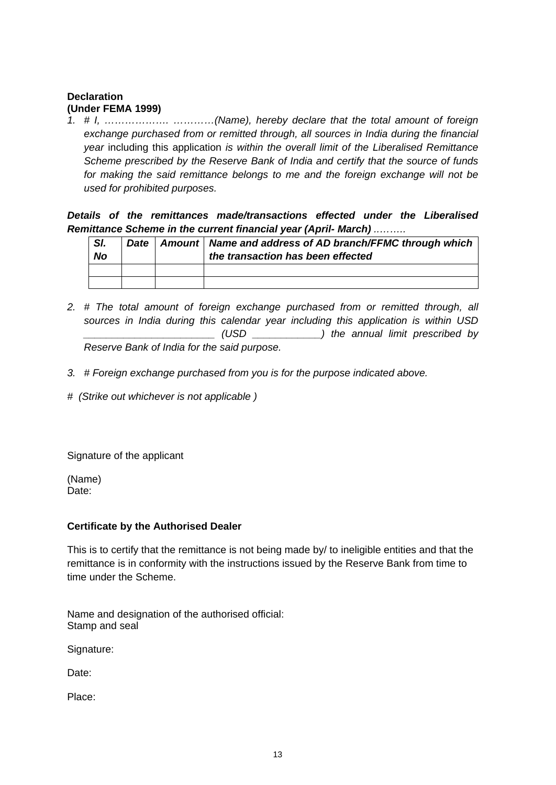#### **Declaration (Under FEMA 1999)**

*1. # I, ………………. …………(Name), hereby declare that the total amount of foreign exchange purchased from or remitted through, all sources in India during the financial year* including this application *is within the overall limit of the Liberalised Remittance Scheme prescribed by the Reserve Bank of India and certify that the source of funds for making the said remittance belongs to me and the foreign exchange will not be used for prohibited purposes.* 

*Details of the remittances made/transactions effected under the Liberalised Remittance Scheme in the current financial year (April- March) ..……..* 

| SI.<br><b>No</b> |  | Date   Amount   Name and address of AD branch/FFMC through which<br>the transaction has been effected |
|------------------|--|-------------------------------------------------------------------------------------------------------|
|                  |  |                                                                                                       |
|                  |  |                                                                                                       |

- *2. # The total amount of foreign exchange purchased from or remitted through, all sources in India during this calendar year including this application is within USD \_\_\_\_\_\_\_\_\_\_\_\_\_\_\_\_\_\_\_\_\_\_\_ (USD \_\_\_\_\_\_\_\_\_\_\_\_) the annual limit prescribed by Reserve Bank of India for the said purpose.*
- *3. # Foreign exchange purchased from you is for the purpose indicated above.*
- *# (Strike out whichever is not applicable )*

Signature of the applicant

(Name) Date:

#### **Certificate by the Authorised Dealer**

This is to certify that the remittance is not being made by/ to ineligible entities and that the remittance is in conformity with the instructions issued by the Reserve Bank from time to time under the Scheme.

Name and designation of the authorised official: Stamp and seal

Signature:

Date:

Place: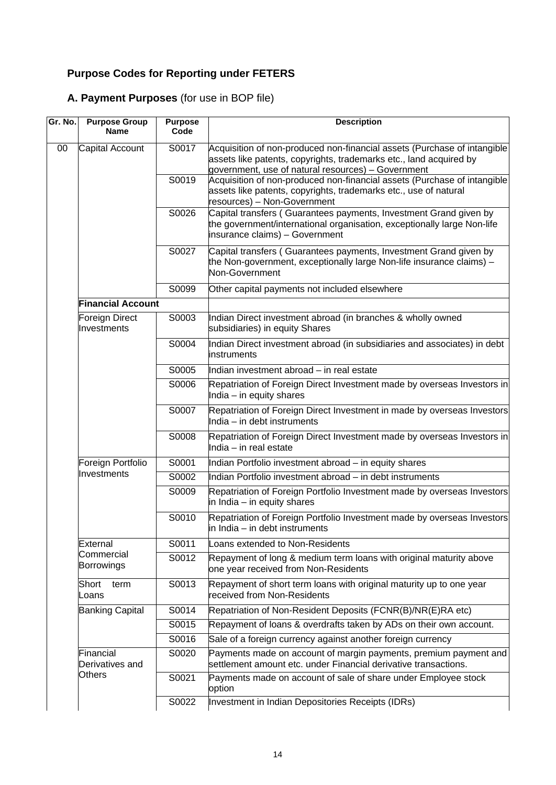# **Purpose Codes for Reporting under FETERS**

# **A. Payment Purposes** (for use in BOP file)

| Gr. No. | <b>Purpose Group</b><br>Name     | <b>Purpose</b><br>Code | <b>Description</b>                                                                                                                                                                                   |
|---------|----------------------------------|------------------------|------------------------------------------------------------------------------------------------------------------------------------------------------------------------------------------------------|
| 00      | Capital Account                  | S0017                  | Acquisition of non-produced non-financial assets (Purchase of intangible<br>assets like patents, copyrights, trademarks etc., land acquired by<br>government, use of natural resources) - Government |
|         |                                  | S0019                  | Acquisition of non-produced non-financial assets (Purchase of intangible<br>assets like patents, copyrights, trademarks etc., use of natural<br>resources) - Non-Government                          |
|         |                                  | S0026                  | Capital transfers (Guarantees payments, Investment Grand given by<br>the government/international organisation, exceptionally large Non-life<br>insurance claims) - Government                       |
|         |                                  | S0027                  | Capital transfers (Guarantees payments, Investment Grand given by<br>the Non-government, exceptionally large Non-life insurance claims) -<br>Non-Government                                          |
|         |                                  | S0099                  | Other capital payments not included elsewhere                                                                                                                                                        |
|         | <b>Financial Account</b>         |                        |                                                                                                                                                                                                      |
|         | Foreign Direct<br>Investments    | S0003                  | Indian Direct investment abroad (in branches & wholly owned<br>subsidiaries) in equity Shares                                                                                                        |
|         |                                  | S0004                  | Indian Direct investment abroad (in subsidiaries and associates) in debt<br>instruments                                                                                                              |
|         |                                  | S0005                  | Indian investment abroad - in real estate                                                                                                                                                            |
|         |                                  | S0006                  | Repatriation of Foreign Direct Investment made by overseas Investors in<br>India $-$ in equity shares                                                                                                |
|         |                                  | S0007                  | Repatriation of Foreign Direct Investment in made by overseas Investors<br>India - in debt instruments                                                                                               |
|         |                                  | S0008                  | Repatriation of Foreign Direct Investment made by overseas Investors in<br>India - in real estate                                                                                                    |
|         | Foreign Portfolio<br>Investments | S0001                  | Indian Portfolio investment abroad - in equity shares                                                                                                                                                |
|         |                                  | S0002                  | Indian Portfolio investment abroad - in debt instruments                                                                                                                                             |
|         |                                  | S0009                  | Repatriation of Foreign Portfolio Investment made by overseas Investors<br>in India – in equity shares                                                                                               |
|         |                                  | S0010                  | Repatriation of Foreign Portfolio Investment made by overseas Investors<br>in India – in debt instruments                                                                                            |
|         | External                         | S0011                  | Loans extended to Non-Residents                                                                                                                                                                      |
|         | Commercial<br>Borrowings         | S0012                  | Repayment of long & medium term loans with original maturity above<br>one year received from Non-Residents                                                                                           |
|         | Short<br>term<br>Loans           | S0013                  | Repayment of short term loans with original maturity up to one year<br>received from Non-Residents                                                                                                   |
|         | <b>Banking Capital</b>           | S0014                  | Repatriation of Non-Resident Deposits (FCNR(B)/NR(E)RA etc)                                                                                                                                          |
|         |                                  | S0015                  | Repayment of loans & overdrafts taken by ADs on their own account.                                                                                                                                   |
|         |                                  | S0016                  | Sale of a foreign currency against another foreign currency                                                                                                                                          |
|         | Financial<br>Derivatives and     | S0020                  | Payments made on account of margin payments, premium payment and<br>settlement amount etc. under Financial derivative transactions.                                                                  |
|         | <b>Others</b>                    | S0021                  | Payments made on account of sale of share under Employee stock<br>option                                                                                                                             |
|         |                                  | S0022                  | Investment in Indian Depositories Receipts (IDRs)                                                                                                                                                    |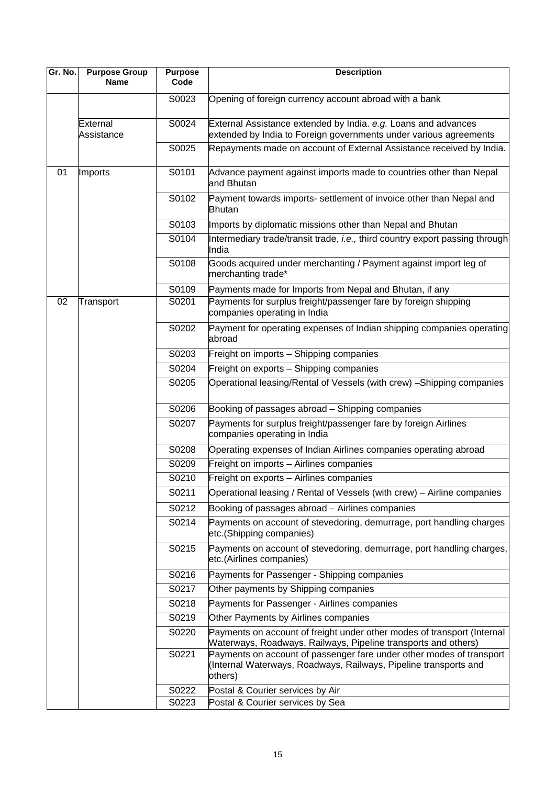| Gr. No. | <b>Purpose Group</b><br><b>Name</b> | <b>Purpose</b><br>Code | <b>Description</b>                                                                                                                                  |
|---------|-------------------------------------|------------------------|-----------------------------------------------------------------------------------------------------------------------------------------------------|
|         |                                     | S0023                  | Opening of foreign currency account abroad with a bank                                                                                              |
|         | External<br>Assistance              | S0024                  | External Assistance extended by India. e.g. Loans and advances<br>extended by India to Foreign governments under various agreements                 |
|         |                                     | S0025                  | Repayments made on account of External Assistance received by India.                                                                                |
| 01      | Imports                             | S0101                  | Advance payment against imports made to countries other than Nepal<br>and Bhutan                                                                    |
|         |                                     | S0102                  | Payment towards imports- settlement of invoice other than Nepal and<br>Bhutan                                                                       |
|         |                                     | S0103                  | Imports by diplomatic missions other than Nepal and Bhutan                                                                                          |
|         |                                     | S0104                  | Intermediary trade/transit trade, <i>i.e.</i> , third country export passing through<br>India                                                       |
|         |                                     | S0108                  | Goods acquired under merchanting / Payment against import leg of<br>merchanting trade*                                                              |
|         |                                     | S0109                  | Payments made for Imports from Nepal and Bhutan, if any                                                                                             |
| 02      | Transport                           | S0201                  | Payments for surplus freight/passenger fare by foreign shipping<br>companies operating in India                                                     |
|         |                                     | S0202                  | Payment for operating expenses of Indian shipping companies operating<br>abroad                                                                     |
|         |                                     | S0203                  | Freight on imports - Shipping companies                                                                                                             |
|         |                                     | S0204                  | Freight on exports - Shipping companies                                                                                                             |
|         |                                     | S0205                  | Operational leasing/Rental of Vessels (with crew) - Shipping companies                                                                              |
|         |                                     | S0206                  | Booking of passages abroad - Shipping companies                                                                                                     |
|         |                                     | S0207                  | Payments for surplus freight/passenger fare by foreign Airlines<br>companies operating in India                                                     |
|         |                                     | S0208                  | Operating expenses of Indian Airlines companies operating abroad                                                                                    |
|         |                                     | S0209                  | Freight on imports - Airlines companies                                                                                                             |
|         |                                     | S0210                  | Freight on exports - Airlines companies                                                                                                             |
|         |                                     | S0211                  | Operational leasing / Rental of Vessels (with crew) - Airline companies                                                                             |
|         |                                     | S0212                  | Booking of passages abroad - Airlines companies                                                                                                     |
|         |                                     | S0214                  | Payments on account of stevedoring, demurrage, port handling charges<br>etc.(Shipping companies)                                                    |
|         |                                     | S0215                  | Payments on account of stevedoring, demurrage, port handling charges,<br>etc.(Airlines companies)                                                   |
|         |                                     | S0216                  | Payments for Passenger - Shipping companies                                                                                                         |
|         |                                     | S0217                  | Other payments by Shipping companies                                                                                                                |
|         |                                     | S0218                  | Payments for Passenger - Airlines companies                                                                                                         |
|         |                                     | S0219                  | Other Payments by Airlines companies                                                                                                                |
|         |                                     | S0220                  | Payments on account of freight under other modes of transport (Internal<br>Waterways, Roadways, Railways, Pipeline transports and others)           |
|         |                                     | S0221                  | Payments on account of passenger fare under other modes of transport<br>(Internal Waterways, Roadways, Railways, Pipeline transports and<br>others) |
|         |                                     | S0222                  | Postal & Courier services by Air                                                                                                                    |
|         |                                     | S0223                  | Postal & Courier services by Sea                                                                                                                    |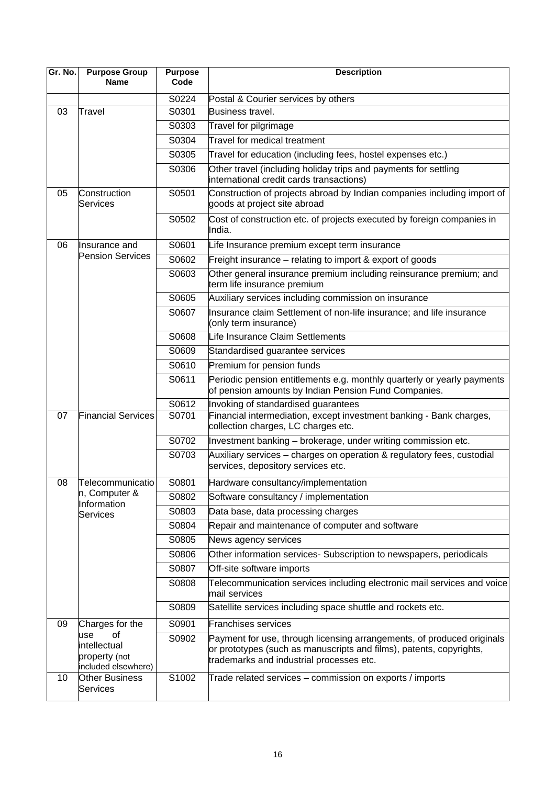| Gr. No. | <b>Purpose Group</b><br><b>Name</b>                               | <b>Purpose</b><br>Code | <b>Description</b>                                                                                                                                                                        |
|---------|-------------------------------------------------------------------|------------------------|-------------------------------------------------------------------------------------------------------------------------------------------------------------------------------------------|
|         |                                                                   | S0224                  | Postal & Courier services by others                                                                                                                                                       |
| 03      | Travel                                                            | S0301                  | Business travel.                                                                                                                                                                          |
|         |                                                                   | S0303                  | Travel for pilgrimage                                                                                                                                                                     |
|         |                                                                   | S0304                  | Travel for medical treatment                                                                                                                                                              |
|         |                                                                   | S0305                  | Travel for education (including fees, hostel expenses etc.)                                                                                                                               |
|         |                                                                   | S0306                  | Other travel (including holiday trips and payments for settling<br>international credit cards transactions)                                                                               |
| 05      | Construction<br><b>Services</b>                                   | S0501                  | Construction of projects abroad by Indian companies including import of<br>goods at project site abroad                                                                                   |
|         |                                                                   | S0502                  | Cost of construction etc. of projects executed by foreign companies in<br>India.                                                                                                          |
| 06      | llnsurance and                                                    | S0601                  | Life Insurance premium except term insurance                                                                                                                                              |
|         | <b>Pension Services</b>                                           | S0602                  | Freight insurance – relating to import & export of goods                                                                                                                                  |
|         |                                                                   | S0603                  | Other general insurance premium including reinsurance premium; and<br>term life insurance premium                                                                                         |
|         |                                                                   | S0605                  | Auxiliary services including commission on insurance                                                                                                                                      |
|         |                                                                   | S0607                  | Insurance claim Settlement of non-life insurance; and life insurance<br>(only term insurance)                                                                                             |
|         |                                                                   | S0608                  | Life Insurance Claim Settlements                                                                                                                                                          |
|         |                                                                   | S0609                  | Standardised guarantee services                                                                                                                                                           |
|         |                                                                   | S0610                  | Premium for pension funds                                                                                                                                                                 |
|         |                                                                   | S0611                  | Periodic pension entitlements e.g. monthly quarterly or yearly payments<br>of pension amounts by Indian Pension Fund Companies.                                                           |
|         |                                                                   | S0612                  | Invoking of standardised guarantees                                                                                                                                                       |
| 07      | <b>Financial Services</b>                                         | S0701                  | Financial intermediation, except investment banking - Bank charges,<br>collection charges, LC charges etc.                                                                                |
|         |                                                                   | S0702                  | Investment banking - brokerage, under writing commission etc.                                                                                                                             |
|         |                                                                   | S0703                  | Auxiliary services - charges on operation & regulatory fees, custodial<br>services, depository services etc.                                                                              |
| 08      | Telecommunicatio                                                  | S0801                  | Hardware consultancy/implementation                                                                                                                                                       |
|         | n, Computer &<br>Information                                      | S0802                  | Software consultancy / implementation                                                                                                                                                     |
|         | Services                                                          | S0803                  | Data base, data processing charges                                                                                                                                                        |
|         |                                                                   | S0804                  | Repair and maintenance of computer and software                                                                                                                                           |
|         |                                                                   | S0805                  | News agency services                                                                                                                                                                      |
|         |                                                                   | S0806                  | Other information services- Subscription to newspapers, periodicals                                                                                                                       |
|         |                                                                   | S0807                  | Off-site software imports                                                                                                                                                                 |
|         |                                                                   | S0808                  | Telecommunication services including electronic mail services and voice<br>mail services                                                                                                  |
|         |                                                                   | S0809                  | Satellite services including space shuttle and rockets etc.                                                                                                                               |
| 09      | Charges for the                                                   | S0901                  | <b>Franchises services</b>                                                                                                                                                                |
|         | οf<br>use<br>intellectual<br>property (not<br>included elsewhere) | S0902                  | Payment for use, through licensing arrangements, of produced originals<br>or prototypes (such as manuscripts and films), patents, copyrights,<br>trademarks and industrial processes etc. |
| 10      | <b>Other Business</b><br>Services                                 | S1002                  | Trade related services - commission on exports / imports                                                                                                                                  |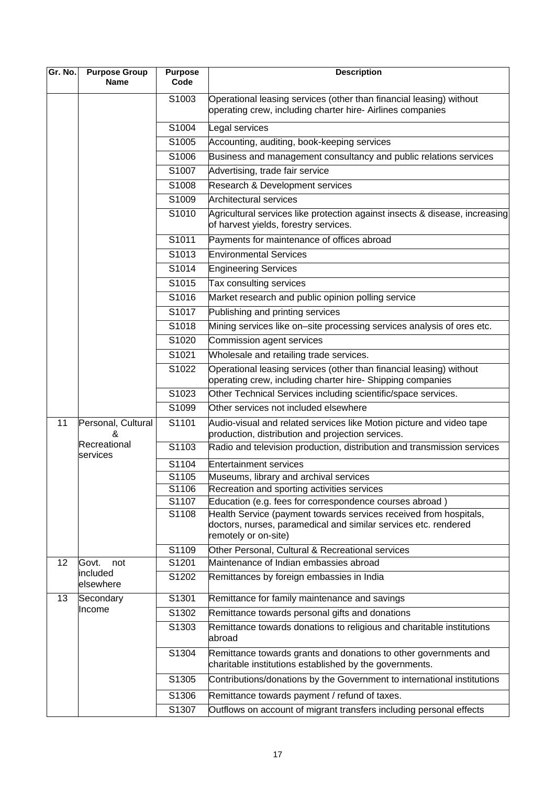| Gr. No. | <b>Purpose Group</b><br><b>Name</b> | <b>Purpose</b><br>Code | <b>Description</b>                                                                                                                |
|---------|-------------------------------------|------------------------|-----------------------------------------------------------------------------------------------------------------------------------|
|         |                                     | S1003                  | Operational leasing services (other than financial leasing) without<br>operating crew, including charter hire- Airlines companies |
|         |                                     | S1004                  | Legal services                                                                                                                    |
|         |                                     | S1005                  | Accounting, auditing, book-keeping services                                                                                       |
|         |                                     | S1006                  | Business and management consultancy and public relations services                                                                 |
|         |                                     | S1007                  | Advertising, trade fair service                                                                                                   |
|         |                                     | S1008                  | Research & Development services                                                                                                   |
|         |                                     | S1009                  | Architectural services                                                                                                            |
|         |                                     | S1010                  | Agricultural services like protection against insects & disease, increasing<br>of harvest yields, forestry services.              |
|         |                                     | S1011                  | Payments for maintenance of offices abroad                                                                                        |
|         |                                     | S1013                  | <b>Environmental Services</b>                                                                                                     |
|         |                                     | S1014                  | <b>Engineering Services</b>                                                                                                       |
|         |                                     | S1015                  | Tax consulting services                                                                                                           |
|         |                                     | S1016                  | Market research and public opinion polling service                                                                                |
|         |                                     | S1017                  | Publishing and printing services                                                                                                  |
|         |                                     | S1018                  | Mining services like on-site processing services analysis of ores etc.                                                            |
|         |                                     | S1020                  | Commission agent services                                                                                                         |
|         |                                     | S1021                  | Wholesale and retailing trade services.                                                                                           |
|         |                                     | S1022                  | Operational leasing services (other than financial leasing) without<br>operating crew, including charter hire- Shipping companies |
|         |                                     | S1023                  | Other Technical Services including scientific/space services.                                                                     |
|         |                                     | S1099                  | Other services not included elsewhere                                                                                             |
| 11      | Personal, Cultural<br>&             | S1101                  | Audio-visual and related services like Motion picture and video tape<br>production, distribution and projection services.         |
|         | Recreational<br>services            | S1103                  | Radio and television production, distribution and transmission services                                                           |
|         |                                     | S1104                  | Entertainment services                                                                                                            |
|         |                                     | S1105                  | Museums, library and archival services                                                                                            |
|         |                                     | S1106                  | Recreation and sporting activities services                                                                                       |
|         |                                     | S1107<br>S1108         | Education (e.g. fees for correspondence courses abroad)<br>Health Service (payment towards services received from hospitals,      |
|         |                                     |                        | doctors, nurses, paramedical and similar services etc. rendered<br>remotely or on-site)                                           |
|         |                                     | S1109                  | Other Personal, Cultural & Recreational services                                                                                  |
| 12      | Govt.<br>not<br>included            | S1201                  | Maintenance of Indian embassies abroad                                                                                            |
|         | elsewhere                           | S1202                  | Remittances by foreign embassies in India                                                                                         |
| 13      | Secondary                           | S1301                  | Remittance for family maintenance and savings                                                                                     |
|         | Income                              | S1302                  | Remittance towards personal gifts and donations                                                                                   |
|         |                                     | S1303                  | Remittance towards donations to religious and charitable institutions<br>abroad                                                   |
|         |                                     | S1304                  | Remittance towards grants and donations to other governments and<br>charitable institutions established by the governments.       |
|         |                                     | S1305                  | Contributions/donations by the Government to international institutions                                                           |
|         |                                     | S1306                  | Remittance towards payment / refund of taxes.                                                                                     |
|         |                                     | S1307                  | Outflows on account of migrant transfers including personal effects                                                               |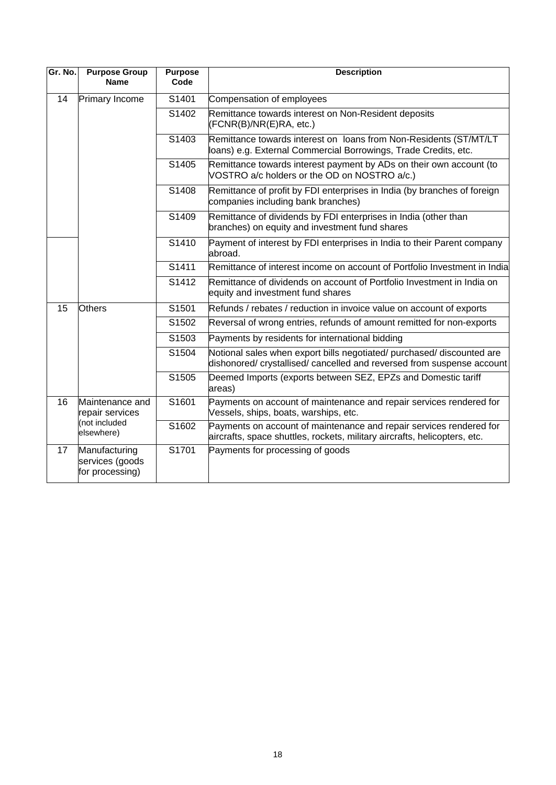| Gr. No. | <b>Purpose Group</b><br><b>Name</b>                 | <b>Purpose</b><br>Code | <b>Description</b>                                                                                                                               |
|---------|-----------------------------------------------------|------------------------|--------------------------------------------------------------------------------------------------------------------------------------------------|
| 14      | Primary Income                                      | S1401                  | Compensation of employees                                                                                                                        |
|         |                                                     | S1402                  | Remittance towards interest on Non-Resident deposits<br>(FCNR(B)/NR(E)RA, etc.)                                                                  |
|         |                                                     | S1403                  | Remittance towards interest on loans from Non-Residents (ST/MT/LT<br>loans) e.g. External Commercial Borrowings, Trade Credits, etc.             |
|         |                                                     | S1405                  | Remittance towards interest payment by ADs on their own account (to<br>VOSTRO a/c holders or the OD on NOSTRO a/c.)                              |
|         |                                                     | S1408                  | Remittance of profit by FDI enterprises in India (by branches of foreign<br>companies including bank branches)                                   |
|         |                                                     | S1409                  | Remittance of dividends by FDI enterprises in India (other than<br>branches) on equity and investment fund shares                                |
|         |                                                     | S1410                  | Payment of interest by FDI enterprises in India to their Parent company<br>abroad.                                                               |
|         |                                                     | S1411                  | Remittance of interest income on account of Portfolio Investment in India                                                                        |
|         |                                                     | S1412                  | Remittance of dividends on account of Portfolio Investment in India on<br>equity and investment fund shares                                      |
| 15      | <b>Others</b>                                       | S1501                  | Refunds / rebates / reduction in invoice value on account of exports                                                                             |
|         |                                                     | S1502                  | Reversal of wrong entries, refunds of amount remitted for non-exports                                                                            |
|         |                                                     | S1503                  | Payments by residents for international bidding                                                                                                  |
|         |                                                     | S1504                  | Notional sales when export bills negotiated/ purchased/ discounted are<br>dishonored/ crystallised/ cancelled and reversed from suspense account |
|         |                                                     | S1505                  | Deemed Imports (exports between SEZ, EPZs and Domestic tariff<br>areas)                                                                          |
| 16      | Maintenance and<br>repair services                  | S1601                  | Payments on account of maintenance and repair services rendered for<br>Vessels, ships, boats, warships, etc.                                     |
|         | (not included<br>elsewhere)                         | S1602                  | Payments on account of maintenance and repair services rendered for<br>aircrafts, space shuttles, rockets, military aircrafts, helicopters, etc. |
| 17      | Manufacturing<br>services (goods<br>for processing) | S1701                  | Payments for processing of goods                                                                                                                 |